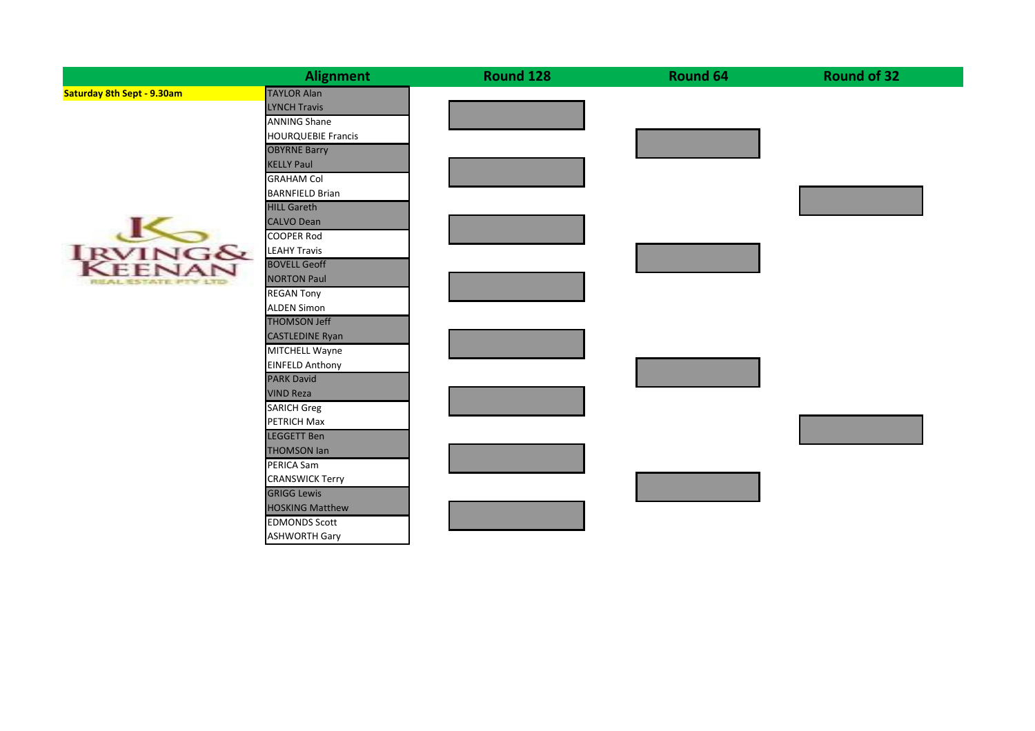|                                   | <b>Alignment</b>          | Round 128 | Round 64 | <b>Round of 32</b> |
|-----------------------------------|---------------------------|-----------|----------|--------------------|
| <b>Saturday 8th Sept - 9.30am</b> | <b>TAYLOR Alan</b>        |           |          |                    |
|                                   | <b>LYNCH Travis</b>       |           |          |                    |
|                                   | <b>ANNING Shane</b>       |           |          |                    |
|                                   | <b>HOURQUEBIE Francis</b> |           |          |                    |
|                                   | <b>OBYRNE Barry</b>       |           |          |                    |
|                                   | <b>KELLY Paul</b>         |           |          |                    |
|                                   | <b>GRAHAM Col</b>         |           |          |                    |
|                                   | <b>BARNFIELD Brian</b>    |           |          |                    |
|                                   | <b>HILL Gareth</b>        |           |          |                    |
| <b>IRVING&amp;</b><br>KEENAN      | <b>CALVO Dean</b>         |           |          |                    |
|                                   | <b>COOPER Rod</b>         |           |          |                    |
|                                   | <b>LEAHY Travis</b>       |           |          |                    |
|                                   | <b>BOVELL Geoff</b>       |           |          |                    |
| REAL ESTATE PTY 1770              | <b>NORTON Paul</b>        |           |          |                    |
|                                   | <b>REGAN Tony</b>         |           |          |                    |
|                                   | <b>ALDEN Simon</b>        |           |          |                    |
|                                   | <b>THOMSON Jeff</b>       |           |          |                    |
|                                   | <b>CASTLEDINE Ryan</b>    |           |          |                    |
|                                   | <b>MITCHELL Wayne</b>     |           |          |                    |
|                                   | <b>EINFELD Anthony</b>    |           |          |                    |
|                                   | <b>PARK David</b>         |           |          |                    |
|                                   | <b>VIND Reza</b>          |           |          |                    |
|                                   | <b>SARICH Greg</b>        |           |          |                    |
|                                   | <b>PETRICH Max</b>        |           |          |                    |
|                                   | <b>LEGGETT Ben</b>        |           |          |                    |
|                                   | <b>THOMSON Ian</b>        |           |          |                    |
|                                   | PERICA Sam                |           |          |                    |
|                                   | <b>CRANSWICK Terry</b>    |           |          |                    |
|                                   | <b>GRIGG Lewis</b>        |           |          |                    |
|                                   | <b>HOSKING Matthew</b>    |           |          |                    |
|                                   | <b>EDMONDS Scott</b>      |           |          |                    |
|                                   | <b>ASHWORTH Gary</b>      |           |          |                    |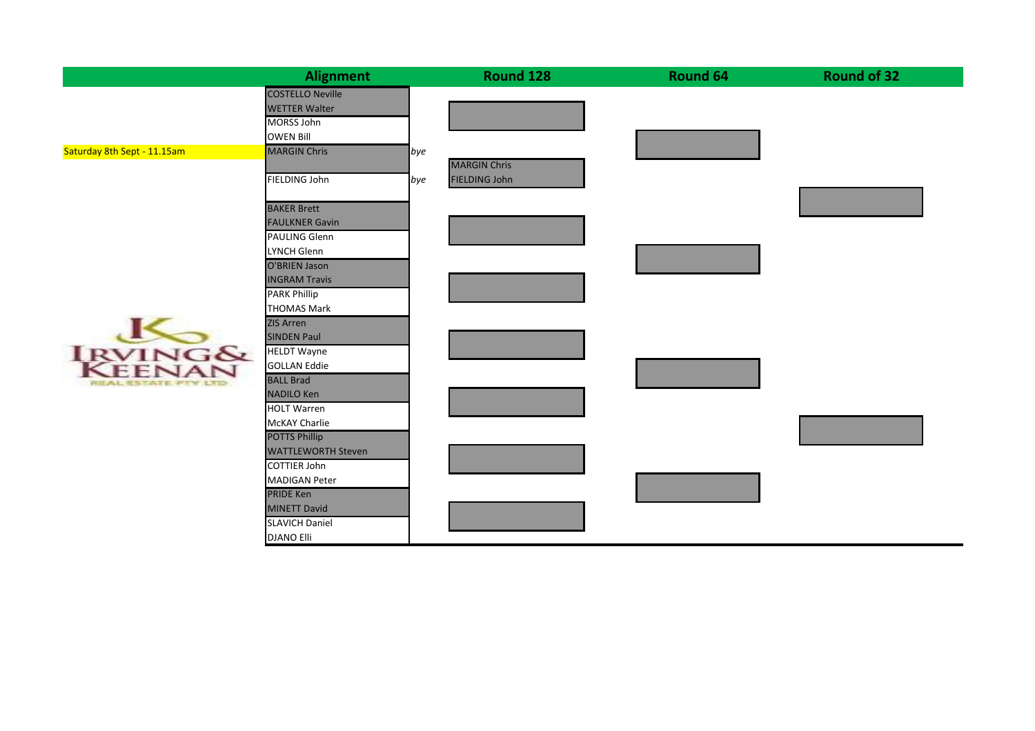| <b>Alignment</b>        |                                                                                                                                                                                                                                                                                                                                                                          | Round 128               | Round 64                             | <b>Round of 32</b> |
|-------------------------|--------------------------------------------------------------------------------------------------------------------------------------------------------------------------------------------------------------------------------------------------------------------------------------------------------------------------------------------------------------------------|-------------------------|--------------------------------------|--------------------|
| <b>COSTELLO Neville</b> |                                                                                                                                                                                                                                                                                                                                                                          |                         |                                      |                    |
| <b>WETTER Walter</b>    |                                                                                                                                                                                                                                                                                                                                                                          |                         |                                      |                    |
| MORSS John              |                                                                                                                                                                                                                                                                                                                                                                          |                         |                                      |                    |
| <b>OWEN Bill</b>        |                                                                                                                                                                                                                                                                                                                                                                          |                         |                                      |                    |
|                         |                                                                                                                                                                                                                                                                                                                                                                          |                         |                                      |                    |
|                         |                                                                                                                                                                                                                                                                                                                                                                          |                         |                                      |                    |
|                         |                                                                                                                                                                                                                                                                                                                                                                          |                         |                                      |                    |
|                         |                                                                                                                                                                                                                                                                                                                                                                          |                         |                                      |                    |
|                         |                                                                                                                                                                                                                                                                                                                                                                          |                         |                                      |                    |
|                         |                                                                                                                                                                                                                                                                                                                                                                          |                         |                                      |                    |
|                         |                                                                                                                                                                                                                                                                                                                                                                          |                         |                                      |                    |
| O'BRIEN Jason           |                                                                                                                                                                                                                                                                                                                                                                          |                         |                                      |                    |
| <b>INGRAM Travis</b>    |                                                                                                                                                                                                                                                                                                                                                                          |                         |                                      |                    |
| <b>PARK Phillip</b>     |                                                                                                                                                                                                                                                                                                                                                                          |                         |                                      |                    |
| <b>THOMAS Mark</b>      |                                                                                                                                                                                                                                                                                                                                                                          |                         |                                      |                    |
| <b>ZIS Arren</b>        |                                                                                                                                                                                                                                                                                                                                                                          |                         |                                      |                    |
| <b>SINDEN Paul</b>      |                                                                                                                                                                                                                                                                                                                                                                          |                         |                                      |                    |
|                         |                                                                                                                                                                                                                                                                                                                                                                          |                         |                                      |                    |
|                         |                                                                                                                                                                                                                                                                                                                                                                          |                         |                                      |                    |
|                         |                                                                                                                                                                                                                                                                                                                                                                          |                         |                                      |                    |
|                         |                                                                                                                                                                                                                                                                                                                                                                          |                         |                                      |                    |
|                         |                                                                                                                                                                                                                                                                                                                                                                          |                         |                                      |                    |
|                         |                                                                                                                                                                                                                                                                                                                                                                          |                         |                                      |                    |
|                         |                                                                                                                                                                                                                                                                                                                                                                          |                         |                                      |                    |
|                         |                                                                                                                                                                                                                                                                                                                                                                          |                         |                                      |                    |
|                         |                                                                                                                                                                                                                                                                                                                                                                          |                         |                                      |                    |
|                         |                                                                                                                                                                                                                                                                                                                                                                          |                         |                                      |                    |
| <b>MINETT David</b>     |                                                                                                                                                                                                                                                                                                                                                                          |                         |                                      |                    |
| <b>SLAVICH Daniel</b>   |                                                                                                                                                                                                                                                                                                                                                                          |                         |                                      |                    |
| <b>DJANO Elli</b>       |                                                                                                                                                                                                                                                                                                                                                                          |                         |                                      |                    |
|                         | <b>MARGIN Chris</b><br>FIELDING John<br><b>BAKER Brett</b><br><b>FAULKNER Gavin</b><br>PAULING Glenn<br>LYNCH Glenn<br><b>HELDT Wayne</b><br><b>GOLLAN Eddie</b><br><b>BALL Brad</b><br><b>NADILO Ken</b><br><b>HOLT Warren</b><br>McKAY Charlie<br><b>POTTS Phillip</b><br><b>WATTLEWORTH Steven</b><br><b>COTTIER John</b><br><b>MADIGAN Peter</b><br><b>PRIDE Ken</b> | $\mathsf{I}$ bye<br>bye | <b>MARGIN Chris</b><br>FIELDING John |                    |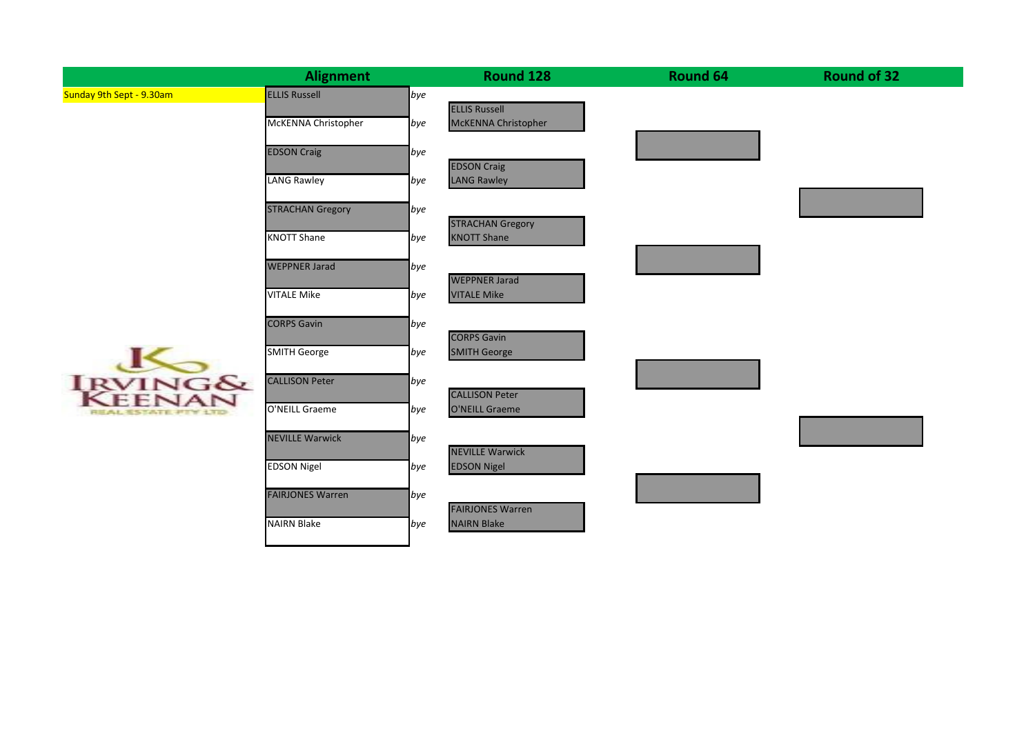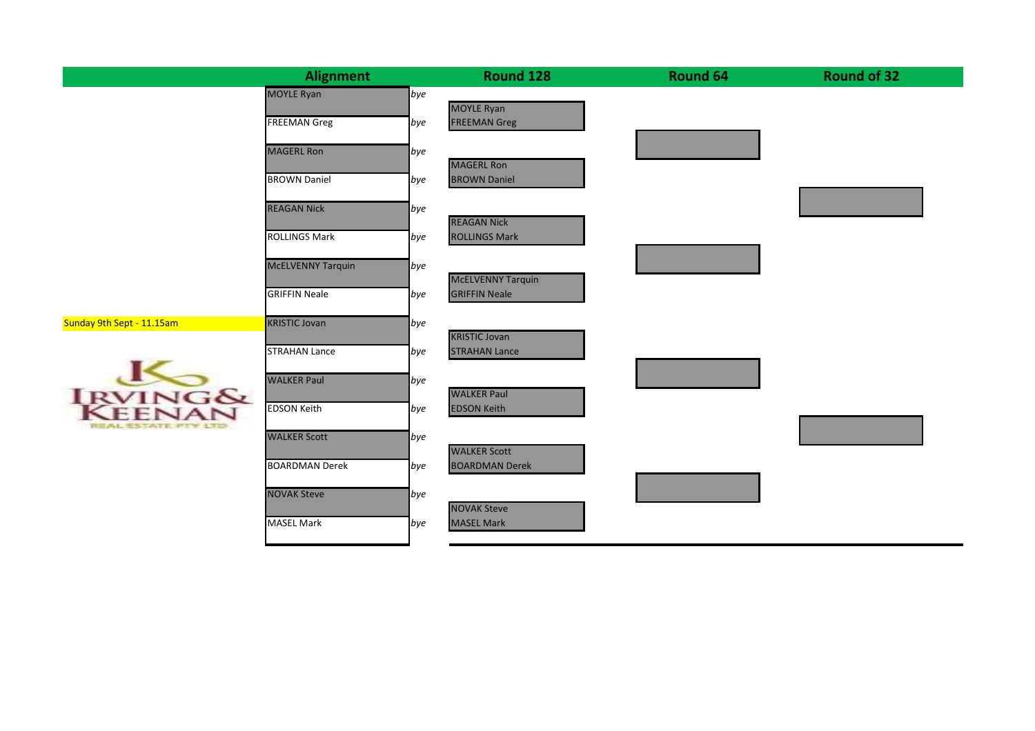|                           | <b>Alignment</b>         |     | Round 128                                | <b>Round 64</b> | <b>Round of 32</b> |
|---------------------------|--------------------------|-----|------------------------------------------|-----------------|--------------------|
|                           | <b>MOYLE Ryan</b>        | bye |                                          |                 |                    |
|                           | <b>FREEMAN Greg</b>      | bye | <b>MOYLE Ryan</b><br><b>FREEMAN Greg</b> |                 |                    |
|                           |                          |     |                                          |                 |                    |
|                           | <b>MAGERL Ron</b>        | bye |                                          |                 |                    |
|                           | <b>BROWN Daniel</b>      | bye | <b>MAGERL Ron</b><br><b>BROWN Daniel</b> |                 |                    |
|                           |                          |     |                                          |                 |                    |
|                           | <b>REAGAN Nick</b>       | bye | <b>REAGAN Nick</b>                       |                 |                    |
|                           | <b>ROLLINGS Mark</b>     | bye | <b>ROLLINGS Mark</b>                     |                 |                    |
|                           |                          |     |                                          |                 |                    |
|                           | <b>McELVENNY Tarquin</b> | bye | <b>McELVENNY Tarquin</b>                 |                 |                    |
|                           | <b>GRIFFIN Neale</b>     | bye | <b>GRIFFIN Neale</b>                     |                 |                    |
| Sunday 9th Sept - 11.15am | <b>KRISTIC Jovan</b>     | bye |                                          |                 |                    |
|                           |                          |     | <b>KRISTIC Jovan</b>                     |                 |                    |
|                           | <b>STRAHAN Lance</b>     | bye | <b>STRAHAN Lance</b>                     |                 |                    |
|                           | <b>WALKER Paul</b>       | bye |                                          |                 |                    |
|                           |                          |     | <b>WALKER Paul</b>                       |                 |                    |
| <b>IKWING&amp;</b>        | <b>EDSON Keith</b>       | bye | <b>EDSON Keith</b>                       |                 |                    |
| REAL ESTATE PITY 1TD      | <b>WALKER Scott</b>      | bye |                                          |                 |                    |
|                           |                          |     | <b>WALKER Scott</b>                      |                 |                    |
|                           | <b>BOARDMAN Derek</b>    | bye | <b>BOARDMAN Derek</b>                    |                 |                    |
|                           | <b>NOVAK Steve</b>       | bye |                                          |                 |                    |
|                           | <b>MASEL Mark</b>        | bye | <b>NOVAK Steve</b><br><b>MASEL Mark</b>  |                 |                    |
|                           |                          |     |                                          |                 |                    |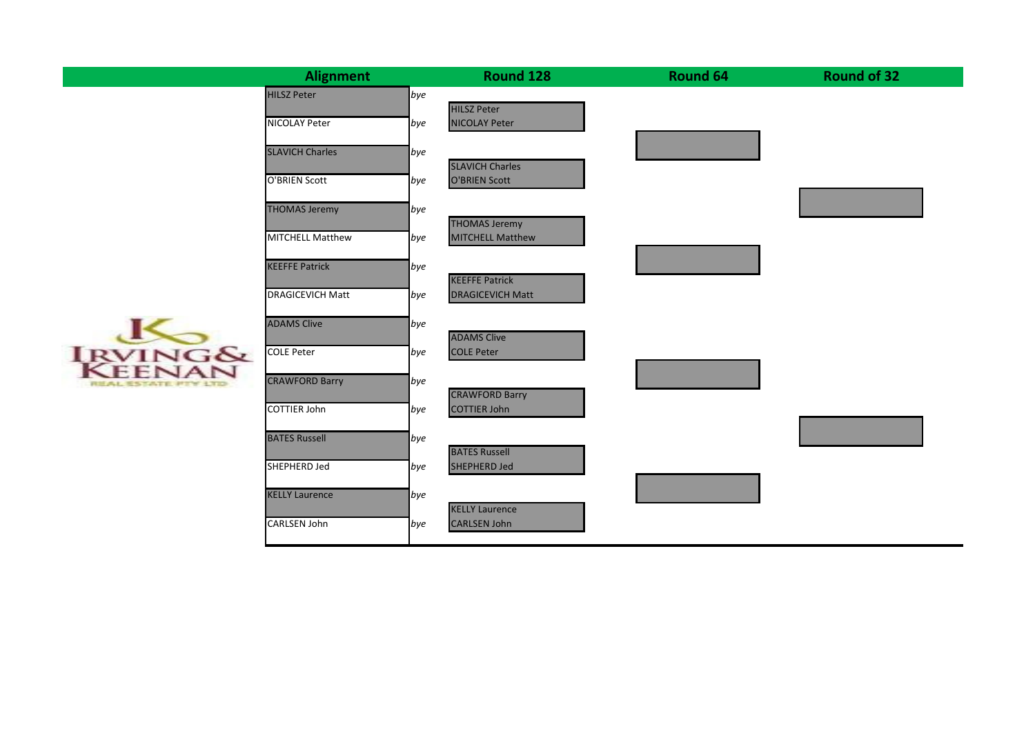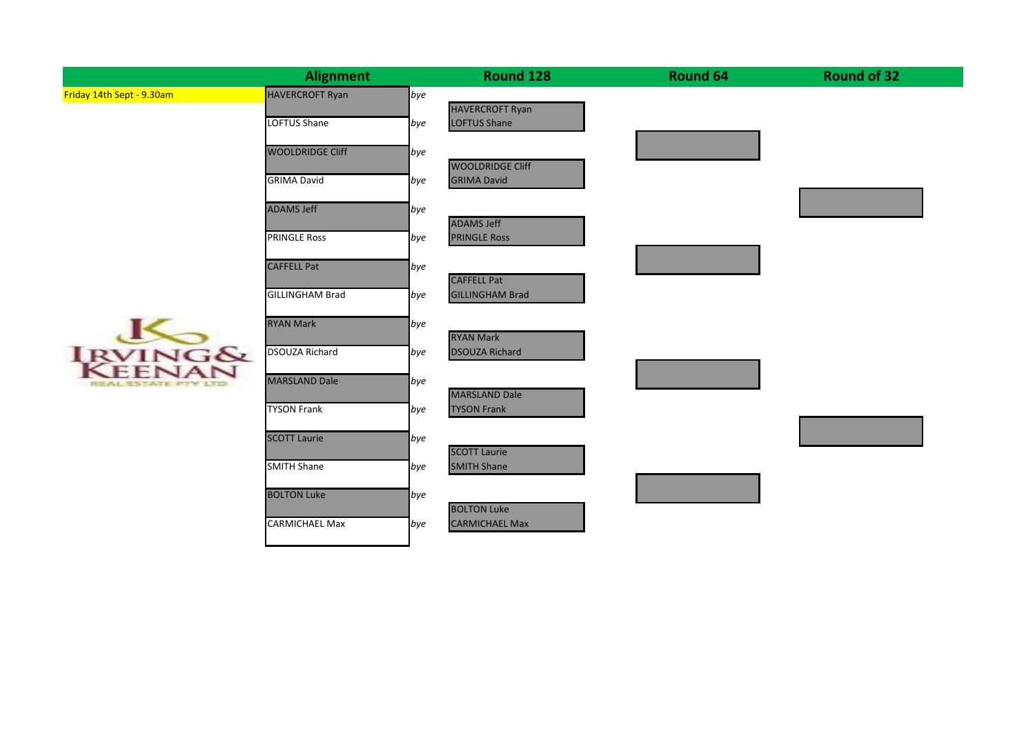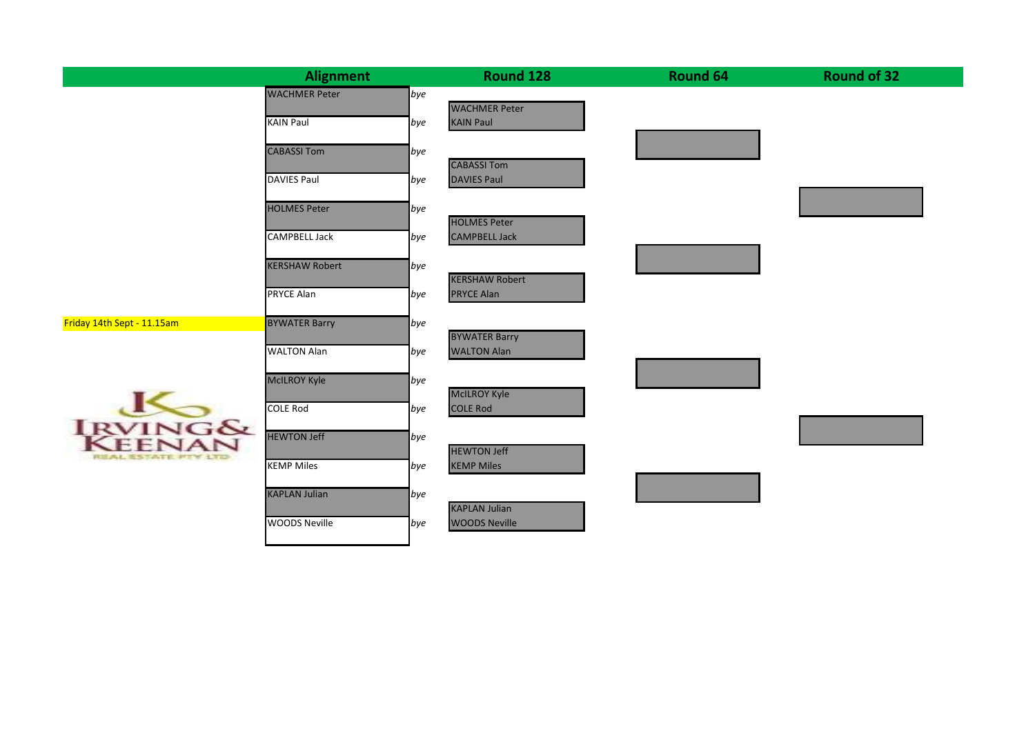|                            | <b>Alignment</b>      |     | Round 128                                   | Round 64 | <b>Round of 32</b> |
|----------------------------|-----------------------|-----|---------------------------------------------|----------|--------------------|
|                            | <b>WACHMER Peter</b>  | bye |                                             |          |                    |
|                            | <b>KAIN Paul</b>      | bye | <b>WACHMER Peter</b><br><b>KAIN Paul</b>    |          |                    |
|                            |                       |     |                                             |          |                    |
|                            | <b>CABASSI Tom</b>    | bye |                                             |          |                    |
|                            | <b>DAVIES Paul</b>    | bye | <b>CABASSI Tom</b><br><b>DAVIES Paul</b>    |          |                    |
|                            |                       |     |                                             |          |                    |
|                            | <b>HOLMES Peter</b>   | bye |                                             |          |                    |
|                            | <b>CAMPBELL Jack</b>  | bye | <b>HOLMES Peter</b><br><b>CAMPBELL Jack</b> |          |                    |
|                            |                       |     |                                             |          |                    |
|                            | <b>KERSHAW Robert</b> | bye | <b>KERSHAW Robert</b>                       |          |                    |
|                            | <b>PRYCE Alan</b>     | bye | <b>PRYCE Alan</b>                           |          |                    |
|                            |                       |     |                                             |          |                    |
| Friday 14th Sept - 11.15am | <b>BYWATER Barry</b>  | bye | <b>BYWATER Barry</b>                        |          |                    |
|                            | <b>WALTON Alan</b>    | bye | <b>WALTON Alan</b>                          |          |                    |
|                            |                       |     |                                             |          |                    |
|                            | <b>McILROY Kyle</b>   | bye | <b>McILROY Kyle</b>                         |          |                    |
| <b>IRVINGSY</b>            | <b>COLE Rod</b>       | bye | <b>COLE Rod</b>                             |          |                    |
|                            | <b>HEWTON Jeff</b>    |     |                                             |          |                    |
|                            |                       | bye | <b>HEWTON Jeff</b>                          |          |                    |
| <b>REAL ESTATE PTY 17D</b> | <b>KEMP Miles</b>     | bye | <b>KEMP Miles</b>                           |          |                    |
|                            | <b>KAPLAN Julian</b>  |     |                                             |          |                    |
|                            |                       | bye | <b>KAPLAN Julian</b>                        |          |                    |
|                            | <b>WOODS Neville</b>  | bye | <b>WOODS Neville</b>                        |          |                    |
|                            |                       |     |                                             |          |                    |